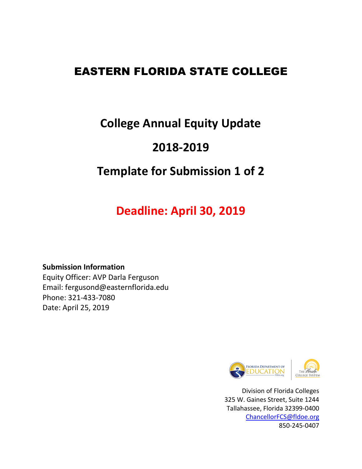# EASTERN FLORIDA STATE COLLEGE

# **College Annual Equity Update**

# **2018-2019**

# **Template for Submission 1 of 2**

# **Deadline: April 30, 2019**

### **Submission Information**

Equity Officer: AVP Darla Ferguson Email: fergusond@easternflorida.edu Phone: 321-433-7080 Date: April 25, 2019



Division of Florida Colleges 325 W. Gaines Street, Suite 1244 Tallahassee, Florida 32399-0400 [ChancellorFCS@fldoe.org](mailto:ChancellorFCS@fldoe.org) 850-245-0407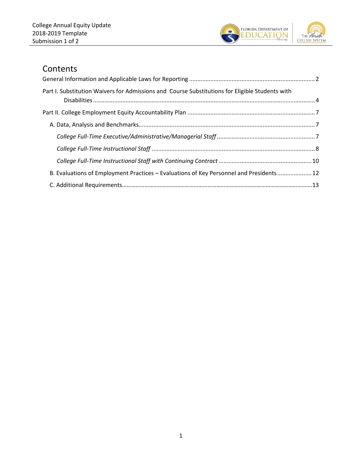

### **Contents**

| Part I. Substitution Waivers for Admissions and Course Substitutions for Eligible Students with |  |
|-------------------------------------------------------------------------------------------------|--|
|                                                                                                 |  |
|                                                                                                 |  |
|                                                                                                 |  |
|                                                                                                 |  |
|                                                                                                 |  |
| B. Evaluations of Employment Practices - Evaluations of Key Personnel and Presidents 12         |  |
|                                                                                                 |  |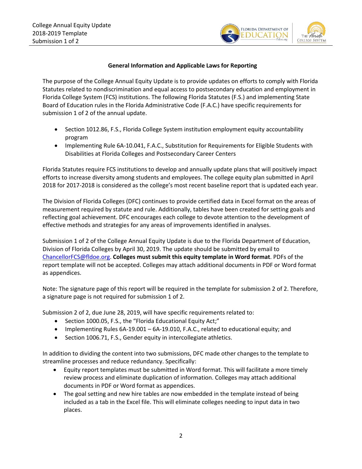

#### **General Information and Applicable Laws for Reporting**

<span id="page-2-0"></span>The purpose of the College Annual Equity Update is to provide updates on efforts to comply with Florida Statutes related to nondiscrimination and equal access to postsecondary education and employment in Florida College System (FCS) institutions. The following Florida Statutes (F.S.) and implementing State Board of Education rules in the Florida Administrative Code (F.A.C.) have specific requirements for submission 1 of 2 of the annual update.

- Section 1012.86, F.S., Florida College System institution employment equity accountability program
- Implementing Rule 6A-10.041, F.A.C., Substitution for Requirements for Eligible Students with Disabilities at Florida Colleges and Postsecondary Career Centers

Florida Statutes require FCS institutions to develop and annually update plans that will positively impact efforts to increase diversity among students and employees. The college equity plan submitted in April 2018 for 2017-2018 is considered as the college's most recent baseline report that is updated each year.

The Division of Florida Colleges (DFC) continues to provide certified data in Excel format on the areas of measurement required by statute and rule. Additionally, tables have been created for setting goals and reflecting goal achievement. DFC encourages each college to devote attention to the development of effective methods and strategies for any areas of improvements identified in analyses.

Submission 1 of 2 of the College Annual Equity Update is due to the Florida Department of Education, Division of Florida Colleges by April 30, 2019. The update should be submitted by email to [ChancellorFCS@fldoe.org.](mailto:ChancellorFCS@fldoe.org) **Colleges must submit this equity template in Word format**. PDFs of the report template will not be accepted. Colleges may attach additional documents in PDF or Word format as appendices.

Note: The signature page of this report will be required in the template for submission 2 of 2. Therefore, a signature page is not required for submission 1 of 2.

Submission 2 of 2, due June 28, 2019, will have specific requirements related to:

- Section 1000.05, F.S., the "Florida Educational Equity Act;"
- Implementing Rules 6A-19.001 6A-19.010, F.A.C., related to educational equity; and
- Section 1006.71, F.S., Gender equity in intercollegiate athletics.

In addition to dividing the content into two submissions, DFC made other changes to the template to streamline processes and reduce redundancy. Specifically:

- Equity report templates must be submitted in Word format. This will facilitate a more timely review process and eliminate duplication of information. Colleges may attach additional documents in PDF or Word format as appendices.
- The goal setting and new hire tables are now embedded in the template instead of being included as a tab in the Excel file. This will eliminate colleges needing to input data in two places.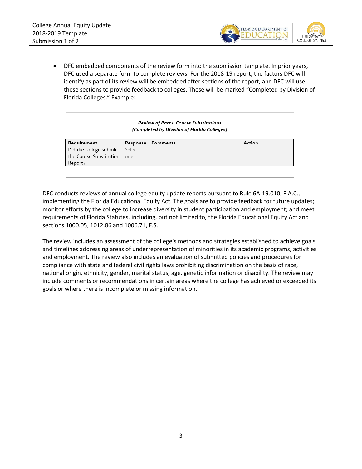

• DFC embedded components of the review form into the submission template. In prior years, DFC used a separate form to complete reviews. For the 2018-19 report, the factors DFC will identify as part of its review will be embedded after sections of the report, and DFC will use these sections to provide feedback to colleges. These will be marked "Completed by Division of Florida Colleges." Example:

> Review of Part I: Course Substitutions (Completed by Division of Florida Colleges)

| Requirement                     |      | Response   Comments | Action |
|---------------------------------|------|---------------------|--------|
| Did the college submit   Select |      |                     |        |
| the Course Substitution         | one. |                     |        |
| Report?                         |      |                     |        |
|                                 |      |                     |        |

DFC conducts reviews of annual college equity update reports pursuant to Rule 6A-19.010, F.A.C., implementing the Florida Educational Equity Act. The goals are to provide feedback for future updates; monitor efforts by the college to increase diversity in student participation and employment; and meet requirements of Florida Statutes, including, but not limited to, the Florida Educational Equity Act and sections 1000.05, 1012.86 and 1006.71, F.S.

The review includes an assessment of the college's methods and strategies established to achieve goals and timelines addressing areas of underrepresentation of minorities in its academic programs, activities and employment. The review also includes an evaluation of submitted policies and procedures for compliance with state and federal civil rights laws prohibiting discrimination on the basis of race, national origin, ethnicity, gender, marital status, age, genetic information or disability. The review may include comments or recommendations in certain areas where the college has achieved or exceeded its goals or where there is incomplete or missing information.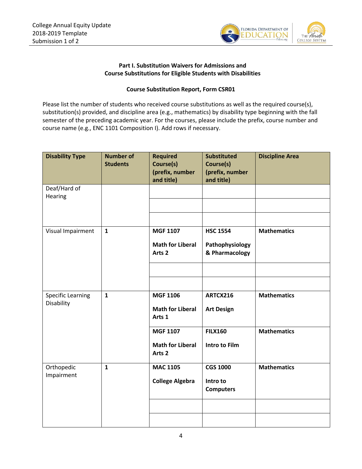

#### **Part I. Substitution Waivers for Admissions and Course Substitutions for Eligible Students with Disabilities**

#### **Course Substitution Report, Form CSR01**

<span id="page-4-0"></span>Please list the number of students who received course substitutions as well as the required course(s), substitution(s) provided, and discipline area (e.g., mathematics) by disability type beginning with the fall semester of the preceding academic year. For the courses, please include the prefix, course number and course name (e.g., ENC 1101 Composition I). Add rows if necessary.

| <b>Disability Type</b>                 | <b>Number of</b><br><b>Students</b> | <b>Required</b><br>Course(s)<br>(prefix, number                                                                         | <b>Substituted</b><br>Course(s)<br>(prefix, number                      | <b>Discipline Area</b>                   |
|----------------------------------------|-------------------------------------|-------------------------------------------------------------------------------------------------------------------------|-------------------------------------------------------------------------|------------------------------------------|
| Deaf/Hard of<br>Hearing                |                                     | and title)                                                                                                              | and title)                                                              |                                          |
| Visual Impairment                      | $\mathbf{1}$                        | <b>MGF 1107</b><br><b>Math for Liberal</b><br>Arts <sub>2</sub>                                                         | <b>HSC 1554</b><br>Pathophysiology<br>& Pharmacology                    | <b>Mathematics</b>                       |
| <b>Specific Learning</b><br>Disability | $\mathbf{1}$                        | <b>MGF 1106</b><br><b>Math for Liberal</b><br>Arts 1<br><b>MGF 1107</b><br><b>Math for Liberal</b><br>Arts <sub>2</sub> | ARTCX216<br><b>Art Design</b><br><b>FILX160</b><br><b>Intro to Film</b> | <b>Mathematics</b><br><b>Mathematics</b> |
| Orthopedic<br>Impairment               | $\mathbf{1}$                        | <b>MAC 1105</b><br><b>College Algebra</b>                                                                               | <b>CGS 1000</b><br>Intro to<br><b>Computers</b>                         | <b>Mathematics</b>                       |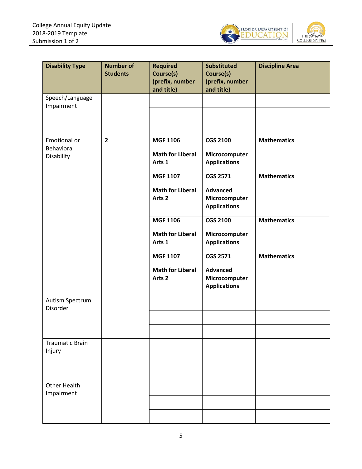

| <b>Disability Type</b>                   | <b>Number of</b><br><b>Students</b> | <b>Required</b><br>Course(s)<br>(prefix, number<br>and title)   | <b>Substituted</b><br>Course(s)<br>(prefix, number<br>and title)           | <b>Discipline Area</b> |
|------------------------------------------|-------------------------------------|-----------------------------------------------------------------|----------------------------------------------------------------------------|------------------------|
| Speech/Language<br>Impairment            |                                     |                                                                 |                                                                            |                        |
|                                          |                                     |                                                                 |                                                                            |                        |
| Emotional or<br>Behavioral<br>Disability | $\overline{2}$                      | <b>MGF 1106</b><br><b>Math for Liberal</b><br>Arts 1            | <b>CGS 2100</b><br>Microcomputer<br><b>Applications</b>                    | <b>Mathematics</b>     |
|                                          |                                     | <b>MGF 1107</b><br><b>Math for Liberal</b><br>Arts <sub>2</sub> | <b>CGS 2571</b><br><b>Advanced</b><br>Microcomputer<br><b>Applications</b> | <b>Mathematics</b>     |
|                                          |                                     | <b>MGF 1106</b><br><b>Math for Liberal</b><br>Arts 1            | <b>CGS 2100</b><br>Microcomputer<br><b>Applications</b>                    | <b>Mathematics</b>     |
|                                          |                                     | <b>MGF 1107</b><br><b>Math for Liberal</b><br>Arts <sub>2</sub> | <b>CGS 2571</b><br><b>Advanced</b><br>Microcomputer<br><b>Applications</b> | <b>Mathematics</b>     |
| Autism Spectrum<br>Disorder              |                                     |                                                                 |                                                                            |                        |
| <b>Traumatic Brain</b><br>Injury         |                                     |                                                                 |                                                                            |                        |
|                                          |                                     |                                                                 |                                                                            |                        |
| <b>Other Health</b><br>Impairment        |                                     |                                                                 |                                                                            |                        |
|                                          |                                     |                                                                 |                                                                            |                        |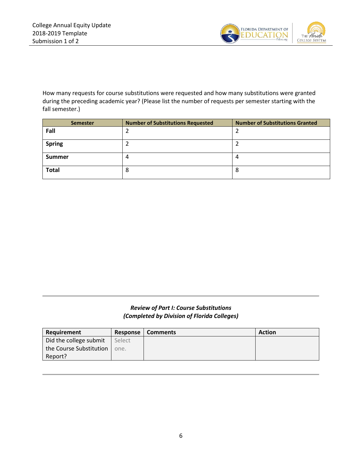

How many requests for course substitutions were requested and how many substitutions were granted during the preceding academic year? (Please list the number of requests per semester starting with the fall semester.)

| <b>Semester</b> | <b>Number of Substitutions Requested</b> | <b>Number of Substitutions Granted</b> |
|-----------------|------------------------------------------|----------------------------------------|
| Fall            |                                          |                                        |
| <b>Spring</b>   |                                          |                                        |
| <b>Summer</b>   |                                          | 4                                      |
| <b>Total</b>    | Ο                                        | 8                                      |

### *Review of Part I: Course Substitutions (Completed by Division of Florida Colleges)*

| Requirement             | Response | <b>Comments</b> | <b>Action</b> |
|-------------------------|----------|-----------------|---------------|
| Did the college submit  | Select   |                 |               |
| the Course Substitution | one.     |                 |               |
| Report?                 |          |                 |               |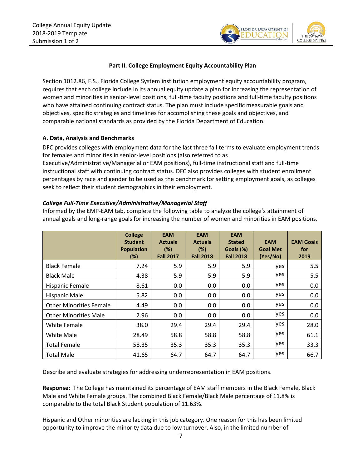

#### **Part II. College Employment Equity Accountability Plan**

<span id="page-7-0"></span>Section 1012.86, F.S., Florida College System institution employment equity accountability program, requires that each college include in its annual equity update a plan for increasing the representation of women and minorities in senior-level positions, full-time faculty positions and full-time faculty positions who have attained continuing contract status. The plan must include specific measurable goals and objectives, specific strategies and timelines for accomplishing these goals and objectives, and comparable national standards as provided by the Florida Department of Education.

#### <span id="page-7-1"></span>**A. Data, Analysis and Benchmarks**

DFC provides colleges with employment data for the last three fall terms to evaluate employment trends for females and minorities in senior-level positions (also referred to as

Executive/Administrative/Managerial or EAM positions), full-time instructional staff and full-time instructional staff with continuing contract status. DFC also provides colleges with student enrollment percentages by race and gender to be used as the benchmark for setting employment goals, as colleges seek to reflect their student demographics in their employment.

#### <span id="page-7-2"></span>*College Full-Time Executive/Administrative/Managerial Staff*

Informed by the EMP-EAM tab, complete the following table to analyze the college's attainment of annual goals and long-range goals for increasing the number of women and minorities in EAM positions.

|                                | <b>College</b><br><b>Student</b><br><b>Population</b><br>(%) | <b>EAM</b><br><b>Actuals</b><br>(%)<br><b>Fall 2017</b> | <b>EAM</b><br><b>Actuals</b><br>(%)<br><b>Fall 2018</b> | <b>EAM</b><br><b>Stated</b><br>Goals (%)<br><b>Fall 2018</b> | <b>EAM</b><br><b>Goal Met</b><br>(Yes/No) | <b>EAM Goals</b><br>for<br>2019 |
|--------------------------------|--------------------------------------------------------------|---------------------------------------------------------|---------------------------------------------------------|--------------------------------------------------------------|-------------------------------------------|---------------------------------|
| <b>Black Female</b>            | 7.24                                                         | 5.9                                                     | 5.9                                                     | 5.9                                                          | yes                                       | 5.5                             |
| <b>Black Male</b>              | 4.38                                                         | 5.9                                                     | 5.9                                                     | 5.9                                                          | yes                                       | 5.5                             |
| <b>Hispanic Female</b>         | 8.61                                                         | 0.0                                                     | 0.0                                                     | 0.0                                                          | yes                                       | 0.0                             |
| <b>Hispanic Male</b>           | 5.82                                                         | 0.0                                                     | 0.0                                                     | 0.0                                                          | yes                                       | 0.0                             |
| <b>Other Minorities Female</b> | 4.49                                                         | 0.0                                                     | 0.0                                                     | 0.0                                                          | yes                                       | 0.0                             |
| <b>Other Minorities Male</b>   | 2.96                                                         | 0.0                                                     | 0.0                                                     | 0.0                                                          | yes                                       | 0.0                             |
| <b>White Female</b>            | 38.0                                                         | 29.4                                                    | 29.4                                                    | 29.4                                                         | yes                                       | 28.0                            |
| White Male                     | 28.49                                                        | 58.8                                                    | 58.8                                                    | 58.8                                                         | yes                                       | 61.1                            |
| <b>Total Female</b>            | 58.35                                                        | 35.3                                                    | 35.3                                                    | 35.3                                                         | yes                                       | 33.3                            |
| <b>Total Male</b>              | 41.65                                                        | 64.7                                                    | 64.7                                                    | 64.7                                                         | yes                                       | 66.7                            |

Describe and evaluate strategies for addressing underrepresentation in EAM positions.

**Response:** The College has maintained its percentage of EAM staff members in the Black Female, Black Male and White Female groups. The combined Black Female/Black Male percentage of 11.8% is comparable to the total Black Student population of 11.63%.

Hispanic and Other minorities are lacking in this job category. One reason for this has been limited opportunity to improve the minority data due to low turnover. Also, in the limited number of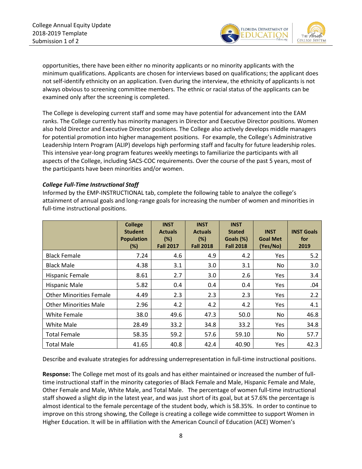

opportunities, there have been either no minority applicants or no minority applicants with the minimum qualifications. Applicants are chosen for interviews based on qualifications; the applicant does not self-identify ethnicity on an application. Even during the interview, the ethnicity of applicants is not always obvious to screening committee members. The ethnic or racial status of the applicants can be examined only after the screening is completed.

The College is developing current staff and some may have potential for advancement into the EAM ranks. The College currently has minority managers in Director and Executive Director positions. Women also hold Director and Executive Director positions. The College also actively develops middle managers for potential promotion into higher management positions. For example, the College's Administrative Leadership Intern Program (ALIP) develops high performing staff and faculty for future leadership roles. This intensive year-long program features weekly meetings to familiarize the participants with all aspects of the College, including SACS-COC requirements. Over the course of the past 5 years, most of the participants have been minorities and/or women.

#### <span id="page-8-0"></span>*College Full-Time Instructional Staff*

Informed by the EMP-INSTRUCTIONAL tab, complete the following table to analyze the college's attainment of annual goals and long-range goals for increasing the number of women and minorities in full-time instructional positions.

|                                | <b>College</b><br><b>Student</b><br><b>Population</b><br>$(\%)$ | <b>INST</b><br><b>Actuals</b><br>(%)<br><b>Fall 2017</b> | <b>INST</b><br><b>Actuals</b><br>(%)<br><b>Fall 2018</b> | <b>INST</b><br><b>Stated</b><br>Goals (%)<br><b>Fall 2018</b> | <b>INST</b><br><b>Goal Met</b><br>(Yes/No) | <b>INST Goals</b><br>for<br>2019 |
|--------------------------------|-----------------------------------------------------------------|----------------------------------------------------------|----------------------------------------------------------|---------------------------------------------------------------|--------------------------------------------|----------------------------------|
| <b>Black Female</b>            | 7.24                                                            | 4.6                                                      | 4.9                                                      | 4.2                                                           | Yes.                                       | 5.2                              |
| <b>Black Male</b>              | 4.38                                                            | 3.1                                                      | 3.0                                                      | 3.1                                                           | No                                         | 3.0                              |
| <b>Hispanic Female</b>         | 8.61                                                            | 2.7                                                      | 3.0                                                      | 2.6                                                           | Yes                                        | 3.4                              |
| <b>Hispanic Male</b>           | 5.82                                                            | 0.4                                                      | 0.4                                                      | 0.4                                                           | Yes                                        | .04                              |
| <b>Other Minorities Female</b> | 4.49                                                            | 2.3                                                      | 2.3                                                      | 2.3                                                           | Yes                                        | 2.2                              |
| <b>Other Minorities Male</b>   | 2.96                                                            | 4.2                                                      | 4.2                                                      | 4.2                                                           | Yes                                        | 4.1                              |
| White Female                   | 38.0                                                            | 49.6                                                     | 47.3                                                     | 50.0                                                          | No                                         | 46.8                             |
| White Male                     | 28.49                                                           | 33.2                                                     | 34.8                                                     | 33.2                                                          | Yes.                                       | 34.8                             |
| <b>Total Female</b>            | 58.35                                                           | 59.2                                                     | 57.6                                                     | 59.10                                                         | No                                         | 57.7                             |
| <b>Total Male</b>              | 41.65                                                           | 40.8                                                     | 42.4                                                     | 40.90                                                         | Yes                                        | 42.3                             |

Describe and evaluate strategies for addressing underrepresentation in full-time instructional positions.

**Response:** The College met most of its goals and has either maintained or increased the number of fulltime instructional staff in the minority categories of Black Female and Male, Hispanic Female and Male, Other Female and Male, White Male, and Total Male. The percentage of women full-time instructional staff showed a slight dip in the latest year, and was just short of its goal, but at 57.6% the percentage is almost identical to the female percentage of the student body, which is 58.35%. In order to continue to improve on this strong showing, the College is creating a college wide committee to support Women in Higher Education. It will be in affiliation with the American Council of Education (ACE) Women's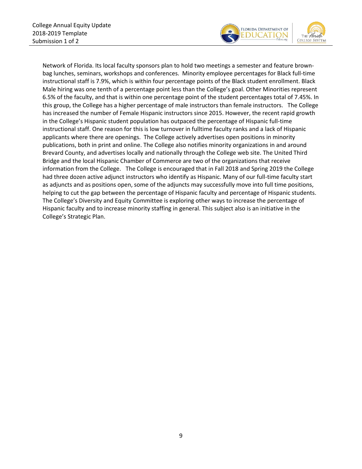

Network of Florida. Its local faculty sponsors plan to hold two meetings a semester and feature brownbag lunches, seminars, workshops and conferences. Minority employee percentages for Black full-time instructional staff is 7.9%, which is within four percentage points of the Black student enrollment. Black Male hiring was one tenth of a percentage point less than the College's goal. Other Minorities represent 6.5% of the faculty, and that is within one percentage point of the student percentages total of 7.45%. In this group, the College has a higher percentage of male instructors than female instructors. The College has increased the number of Female Hispanic instructors since 2015. However, the recent rapid growth in the College's Hispanic student population has outpaced the percentage of Hispanic full-time instructional staff. One reason for this is low turnover in fulltime faculty ranks and a lack of Hispanic applicants where there are openings. The College actively advertises open positions in minority publications, both in print and online. The College also notifies minority organizations in and around Brevard County, and advertises locally and nationally through the College web site. The United Third Bridge and the local Hispanic Chamber of Commerce are two of the organizations that receive information from the College. The College is encouraged that in Fall 2018 and Spring 2019 the College had three dozen active adjunct instructors who identify as Hispanic. Many of our full-time faculty start as adjuncts and as positions open, some of the adjuncts may successfully move into full time positions, helping to cut the gap between the percentage of Hispanic faculty and percentage of Hispanic students. The College's Diversity and Equity Committee is exploring other ways to increase the percentage of Hispanic faculty and to increase minority staffing in general. This subject also is an initiative in the College's Strategic Plan.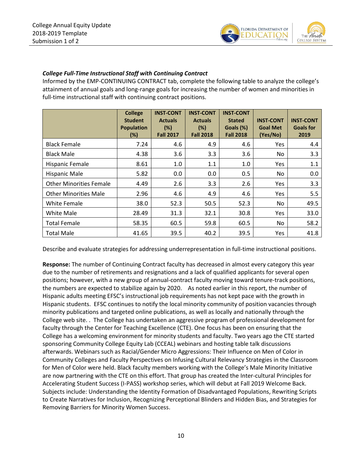

### <span id="page-10-0"></span>*College Full-Time Instructional Staff with Continuing Contract*

Informed by the EMP-CONTINUING CONTRACT tab, complete the following table to analyze the college's attainment of annual goals and long-range goals for increasing the number of women and minorities in full-time instructional staff with continuing contract positions.

|                                | <b>College</b><br><b>Student</b><br><b>Population</b><br>(%) | <b>INST-CONT</b><br><b>Actuals</b><br>(%)<br><b>Fall 2017</b> | <b>INST-CONT</b><br><b>Actuals</b><br>(%)<br><b>Fall 2018</b> | <b>INST-CONT</b><br><b>Stated</b><br>Goals (%)<br><b>Fall 2018</b> | <b>INST-CONT</b><br><b>Goal Met</b><br>(Yes/No) | <b>INST-CONT</b><br><b>Goals for</b><br>2019 |
|--------------------------------|--------------------------------------------------------------|---------------------------------------------------------------|---------------------------------------------------------------|--------------------------------------------------------------------|-------------------------------------------------|----------------------------------------------|
| <b>Black Female</b>            | 7.24                                                         | 4.6                                                           | 4.9                                                           | 4.6                                                                | <b>Yes</b>                                      | 4.4                                          |
| <b>Black Male</b>              | 4.38                                                         | 3.6                                                           | 3.3                                                           | 3.6                                                                | No                                              | 3.3                                          |
| Hispanic Female                | 8.61                                                         | 1.0                                                           | 1.1                                                           | 1.0                                                                | Yes.                                            | 1.1                                          |
| <b>Hispanic Male</b>           | 5.82                                                         | 0.0                                                           | 0.0                                                           | 0.5                                                                | No                                              | 0.0                                          |
| <b>Other Minorities Female</b> | 4.49                                                         | 2.6                                                           | 3.3                                                           | 2.6                                                                | Yes.                                            | 3.3                                          |
| <b>Other Minorities Male</b>   | 2.96                                                         | 4.6                                                           | 4.9                                                           | 4.6                                                                | Yes.                                            | 5.5                                          |
| White Female                   | 38.0                                                         | 52.3                                                          | 50.5                                                          | 52.3                                                               | No.                                             | 49.5                                         |
| White Male                     | 28.49                                                        | 31.3                                                          | 32.1                                                          | 30.8                                                               | Yes.                                            | 33.0                                         |
| <b>Total Female</b>            | 58.35                                                        | 60.5                                                          | 59.8                                                          | 60.5                                                               | No                                              | 58.2                                         |
| <b>Total Male</b>              | 41.65                                                        | 39.5                                                          | 40.2                                                          | 39.5                                                               | Yes                                             | 41.8                                         |

Describe and evaluate strategies for addressing underrepresentation in full-time instructional positions.

**Response:** The number of Continuing Contract faculty has decreased in almost every category this year due to the number of retirements and resignations and a lack of qualified applicants for several open positions; however, with a new group of annual-contract faculty moving toward tenure-track positions, the numbers are expected to stabilize again by 2020. As noted earlier in this report, the number of Hispanic adults meeting EFSC's instructional job requirements has not kept pace with the growth in Hispanic students. EFSC continues to notify the local minority community of position vacancies through minority publications and targeted online publications, as well as locally and nationally through the College web site. . The College has undertaken an aggressive program of professional development for faculty through the Center for Teaching Excellence (CTE). One focus has been on ensuring that the College has a welcoming environment for minority students and faculty. Two years ago the CTE started sponsoring Community College Equity Lab (CCEAL) webinars and hosting table talk discussions afterwards. Webinars such as Racial/Gender Micro Aggressions: Their Influence on Men of Color in Community Colleges and Faculty Perspectives on Infusing Cultural Relevancy Strategies in the Classroom for Men of Color were held. Black faculty members working with the College's Male Minority Initiative are now partnering with the CTE on this effort. That group has created the Inter-cultural Principles for Accelerating Student Success (I-PASS) workshop series, which will debut at Fall 2019 Welcome Back. Subjects include: Understanding the Identity Formation of Disadvantaged Populations, Rewriting Scripts to Create Narratives for Inclusion, Recognizing Perceptional Blinders and Hidden Bias, and Strategies for Removing Barriers for Minority Women Success.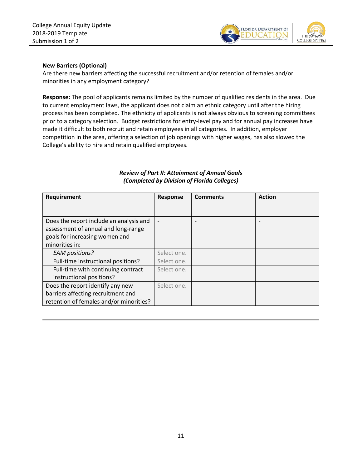

#### **New Barriers (Optional)**

Are there new barriers affecting the successful recruitment and/or retention of females and/or minorities in any employment category?

**Response:** The pool of applicants remains limited by the number of qualified residents in the area. Due to current employment laws, the applicant does not claim an ethnic category until after the hiring process has been completed. The ethnicity of applicants is not always obvious to screening committees prior to a category selection. Budget restrictions for entry-level pay and for annual pay increases have made it difficult to both recruit and retain employees in all categories. In addition, employer competition in the area, offering a selection of job openings with higher wages, has also slowed the College's ability to hire and retain qualified employees.

| Requirement                             | <b>Response</b> | <b>Comments</b> | <b>Action</b> |
|-----------------------------------------|-----------------|-----------------|---------------|
|                                         |                 |                 |               |
| Does the report include an analysis and | ٠               |                 |               |
| assessment of annual and long-range     |                 |                 |               |
| goals for increasing women and          |                 |                 |               |
| minorities in:                          |                 |                 |               |
| <b>EAM</b> positions?                   | Select one.     |                 |               |
| Full-time instructional positions?      | Select one.     |                 |               |
| Full-time with continuing contract      | Select one.     |                 |               |
| instructional positions?                |                 |                 |               |
| Does the report identify any new        | Select one.     |                 |               |
| barriers affecting recruitment and      |                 |                 |               |
| retention of females and/or minorities? |                 |                 |               |

#### <span id="page-11-0"></span>*Review of Part II: Attainment of Annual Goals (Completed by Division of Florida Colleges)*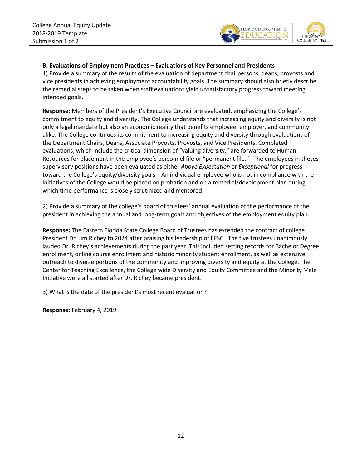

#### **B. Evaluations of Employment Practices – Evaluations of Key Personnel and Presidents**

1) Provide a summary of the results of the evaluation of department chairpersons, deans, provosts and vice presidents in achieving employment accountability goals. The summary should also briefly describe the remedial steps to be taken when staff evaluations yield unsatisfactory progress toward meeting intended goals.

**Response:** Members of the President's Executive Council are evaluated, emphasizing the College's commitment to equity and diversity. The College understands that increasing equity and diversity is not only a legal mandate but also an economic reality that benefits employee, employer, and community alike. The College continues its commitment to increasing equity and diversity through evaluations of the Department Chairs, Deans, Associate Provosts, Provosts, and Vice Presidents. Completed evaluations, which include the critical dimension of "valuing diversity," are forwarded to Human Resources for placement in the employee's personnel file or "permanent file." The employees in theses supervisory positions have been evaluated as either *Above Expectation* or *Exceptional* for progress toward the College's equity/diversity goals. An individual employee who is not in compliance with the initiatives of the College would be placed on probation and on a remedial/development plan during which time performance is closely scrutinized and mentored.

2) Provide a summary of the college's board of trustees' annual evaluation of the performance of the president in achieving the annual and long-term goals and objectives of the employment equity plan.

**Response:** The Eastern Florida State College Board of Trustees has extended the contract of college President Dr. Jim Richey to 2024 after praising his leadership of EFSC. The five trustees unanimously lauded Dr. Richey's achievements during the past year. This included setting records for Bachelor Degree enrollment, online course enrollment and historic minority student enrollment, as well as extensive outreach to diverse portions of the community and improving diversity and equity at the College. The Center for Teaching Excellence, the College wide Diversity and Equity Committee and the Minority Male Initiative were all started after Dr. Richey became president.

3) What is the date of the president's most recent evaluation?

**Response:** February 4, 2019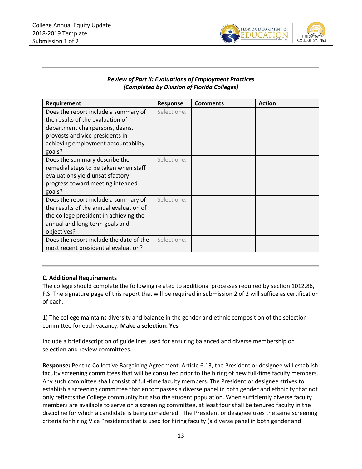<span id="page-13-0"></span>

### *Review of Part II: Evaluations of Employment Practices (Completed by Division of Florida Colleges)*

| Requirement                             | <b>Response</b> | <b>Comments</b> | <b>Action</b> |
|-----------------------------------------|-----------------|-----------------|---------------|
| Does the report include a summary of    | Select one.     |                 |               |
| the results of the evaluation of        |                 |                 |               |
| department chairpersons, deans,         |                 |                 |               |
| provosts and vice presidents in         |                 |                 |               |
| achieving employment accountability     |                 |                 |               |
| goals?                                  |                 |                 |               |
| Does the summary describe the           | Select one.     |                 |               |
| remedial steps to be taken when staff   |                 |                 |               |
| evaluations yield unsatisfactory        |                 |                 |               |
| progress toward meeting intended        |                 |                 |               |
| goals?                                  |                 |                 |               |
| Does the report include a summary of    | Select one.     |                 |               |
| the results of the annual evaluation of |                 |                 |               |
| the college president in achieving the  |                 |                 |               |
| annual and long-term goals and          |                 |                 |               |
| objectives?                             |                 |                 |               |
| Does the report include the date of the | Select one.     |                 |               |
| most recent presidential evaluation?    |                 |                 |               |

#### **C. Additional Requirements**

The college should complete the following related to additional processes required by section 1012.86, F.S. The signature page of this report that will be required in submission 2 of 2 will suffice as certification of each.

1) The college maintains diversity and balance in the gender and ethnic composition of the selection committee for each vacancy. **Make a selection: Yes**

Include a brief description of guidelines used for ensuring balanced and diverse membership on selection and review committees.

**Response:** Per the Collective Bargaining Agreement, Article 6.13, the President or designee will establish faculty screening committees that will be consulted prior to the hiring of new full-time faculty members. Any such committee shall consist of full-time faculty members. The President or designee strives to establish a screening committee that encompasses a diverse panel in both gender and ethnicity that not only reflects the College community but also the student population. When sufficiently diverse faculty members are available to serve on a screening committee, at least four shall be tenured faculty in the discipline for which a candidate is being considered. The President or designee uses the same screening criteria for hiring Vice Presidents that is used for hiring faculty (a diverse panel in both gender and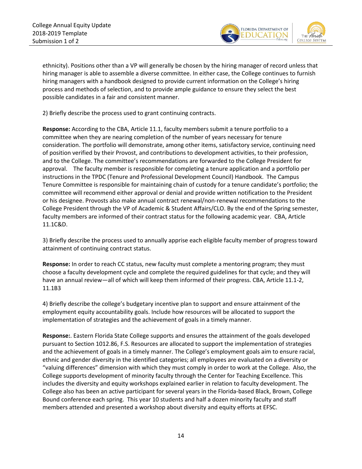

ethnicity). Positions other than a VP will generally be chosen by the hiring manager of record unless that hiring manager is able to assemble a diverse committee. In either case, the College continues to furnish hiring managers with a handbook designed to provide current information on the College's hiring process and methods of selection, and to provide ample guidance to ensure they select the best possible candidates in a fair and consistent manner.

2) Briefly describe the process used to grant continuing contracts.

**Response:** According to the CBA, Article 11.1, faculty members submit a tenure portfolio to a committee when they are nearing completion of the number of years necessary for tenure consideration. The portfolio will demonstrate, among other items, satisfactory service, continuing need of position verified by their Provost, and contributions to development activities, to their profession, and to the College. The committee's recommendations are forwarded to the College President for approval. The faculty member is responsible for completing a tenure application and a portfolio per instructions in the TPDC (Tenure and Professional Development Council) Handbook. The Campus Tenure Committee is responsible for maintaining chain of custody for a tenure candidate's portfolio; the committee will recommend either approval or denial and provide written notification to the President or his designee. Provosts also make annual contract renewal/non-renewal recommendations to the College President through the VP of Academic & Student Affairs/CLO. By the end of the Spring semester, faculty members are informed of their contract status for the following academic year. CBA, Article 11.1C&D.

3) Briefly describe the process used to annually apprise each eligible faculty member of progress toward attainment of continuing contract status.

**Response:** In order to reach CC status, new faculty must complete a mentoring program; they must choose a faculty development cycle and complete the required guidelines for that cycle; and they will have an annual review—all of which will keep them informed of their progress. CBA, Article 11.1-2, 11.1B3

4) Briefly describe the college's budgetary incentive plan to support and ensure attainment of the employment equity accountability goals. Include how resources will be allocated to support the implementation of strategies and the achievement of goals in a timely manner.

**Response:**. Eastern Florida State College supports and ensures the attainment of the goals developed pursuant to Section 1012.86, F.S. Resources are allocated to support the implementation of strategies and the achievement of goals in a timely manner. The College's employment goals aim to ensure racial, ethnic and gender diversity in the identified categories; all employees are evaluated on a diversity or "valuing differences" dimension with which they must comply in order to work at the College. Also, the College supports development of minority faculty through the Center for Teaching Excellence. This includes the diversity and equity workshops explained earlier in relation to faculty development. The College also has been an active participant for several years in the Florida-based Black, Brown, College Bound conference each spring. This year 10 students and half a dozen minority faculty and staff members attended and presented a workshop about diversity and equity efforts at EFSC.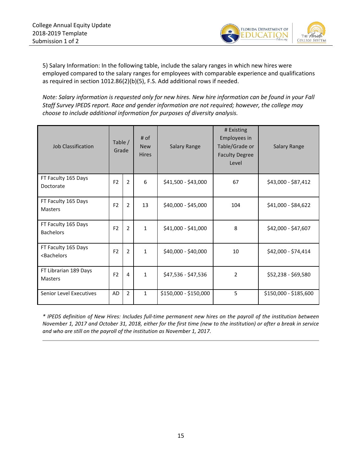

5) Salary Information: In the following table, include the salary ranges in which new hires were employed compared to the salary ranges for employees with comparable experience and qualifications as required in section 1012.86(2)(b)(5), F.S. Add additional rows if needed.

*Note: Salary information is requested only for new hires. New hire information can be found in your Fall Staff Survey IPEDS report. Race and gender information are not required; however, the college may choose to include additional information for purposes of diversity analysis.*

| <b>Job Classification</b>                                                                                                                                                                 | $#$ of<br>Table /<br><b>New</b><br>Grade<br><b>Hires</b> |                |              | <b>Salary Range</b>   | # Existing<br>Employees in<br>Table/Grade or<br><b>Faculty Degree</b><br>Level | <b>Salary Range</b>   |
|-------------------------------------------------------------------------------------------------------------------------------------------------------------------------------------------|----------------------------------------------------------|----------------|--------------|-----------------------|--------------------------------------------------------------------------------|-----------------------|
| FT Faculty 165 Days<br>Doctorate                                                                                                                                                          | F <sub>2</sub>                                           | $\overline{2}$ | 6            | \$41,500 - \$43,000   | 67                                                                             | \$43,000 - \$87,412   |
| FT Faculty 165 Days<br>Masters                                                                                                                                                            | F <sub>2</sub>                                           | $\overline{2}$ | 13           | \$40,000 - \$45,000   | 104                                                                            | \$41,000 - \$84,622   |
| FT Faculty 165 Days<br><b>Bachelors</b>                                                                                                                                                   | F <sub>2</sub>                                           | $\overline{2}$ | $\mathbf{1}$ | \$41,000 - \$41,000   | 8                                                                              | \$42,000 - \$47,607   |
| FT Faculty 165 Days<br><bachelors< td=""><td>F<sub>2</sub></td><td>2</td><td><math>\mathbf{1}</math></td><td>\$40,000 - \$40,000</td><td>10</td><td>\$42,000 - \$74,414</td></bachelors<> | F <sub>2</sub>                                           | 2              | $\mathbf{1}$ | \$40,000 - \$40,000   | 10                                                                             | \$42,000 - \$74,414   |
| FT Librarian 189 Days<br>Masters                                                                                                                                                          | F <sub>2</sub>                                           | 4              | $\mathbf{1}$ | \$47,536 - \$47,536   | $\overline{2}$                                                                 | \$52,238 - \$69,580   |
| Senior Level Executives                                                                                                                                                                   | AD                                                       | $\overline{2}$ | $\mathbf{1}$ | \$150,000 - \$150,000 | 5                                                                              | \$150,000 - \$185,600 |

*\* IPEDS definition of New Hires: Includes full-time permanent new hires on the payroll of the institution between November 1, 2017 and October 31, 2018, either for the first time (new to the institution) or after a break in service and who are still on the payroll of the institution as November 1, 2017.*